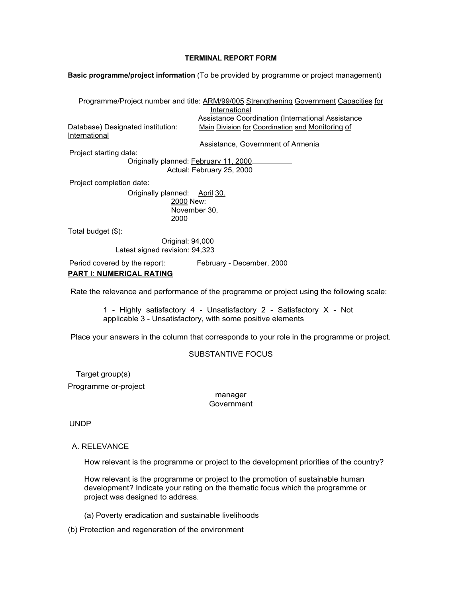#### **TERMINAL REPORT FORM**

**Basic programme/project information** (To be provided by programme or project management)

Programme/Project number and title: ARM/99/005 Strengthening Government Capacities for International Assistance Coordination (International Assistance Database) Designated institution: Main Division for Coordination and Monitoring of International Assistance, Government of Armenia Project starting date: Originally planned: February 11, 2000 Actual: February 25, 2000 Project completion date: Originally planned: April 30. 2000 New: November 30, 2000 Total budget (\$): Original: 94,000 Latest signed revision: 94,323 Period covered by the report: February - December, 2000 **PART** I: **NUMERICAL RATING**

Rate the relevance and performance of the programme or project using the following scale:

1 - Highly satisfactory 4 - Unsatisfactory 2 - Satisfactory X - Not applicable 3 - Unsatisfactory, with some positive elements

Place your answers in the column that corresponds to your role in the programme or project.

## SUBSTANTIVE FOCUS

Target group(s)

Programme or-project

manager **Government** 

UNDP

## A. RELEVANCE

How relevant is the programme or project to the development priorities of the country?

How relevant is the programme or project to the promotion of sustainable human development? Indicate your rating on the thematic focus which the programme or project was designed to address.

(a) Poverty eradication and sustainable livelihoods

(b) Protection and regeneration of the environment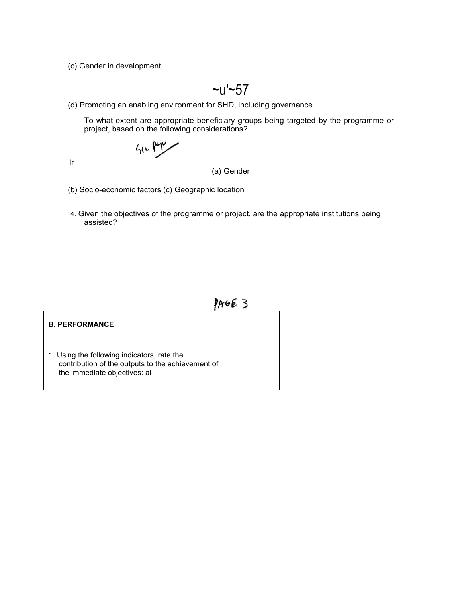(c) Gender in development

$$
\sim u' \sim 57
$$

(d) Promoting an enabling environment for SHD, including governance

To what extent are appropriate beneficiary groups being targeted by the programme or project, based on the following considerations?

$$
\mathcal{L}_{\mathcal{H}^{\mathcal{L}}} \mathsf{P}^{\mathsf{op}\mathcal{L}}
$$

Ir

(a) Gender

- (b) Socio-economic factors (c) Geographic location
- 4. Given the objectives of the programme or project, are the appropriate institutions being assisted?

PAGE 3

| <b>B. PERFORMANCE</b>                                                                                                            |  |  |
|----------------------------------------------------------------------------------------------------------------------------------|--|--|
| 1. Using the following indicators, rate the<br>contribution of the outputs to the achievement of<br>the immediate objectives: ai |  |  |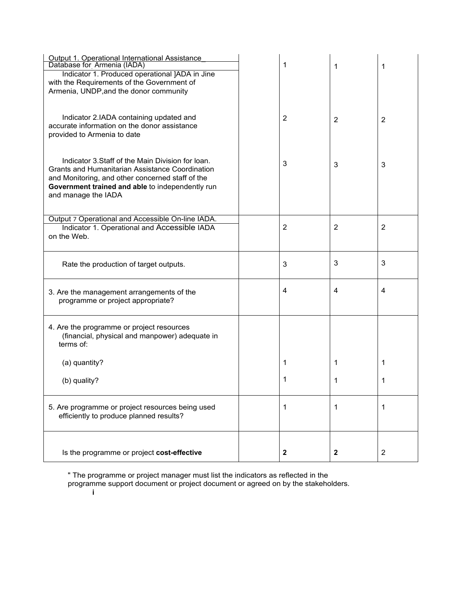| Output 1. Operational International Assistance<br>Database for Armenia (IADA)<br>Indicator 1. Produced operational JADA in Jine<br>with the Requirements of the Government of<br>Armenia, UNDP, and the donor community             | 1              | 1              | 1              |
|-------------------------------------------------------------------------------------------------------------------------------------------------------------------------------------------------------------------------------------|----------------|----------------|----------------|
| Indicator 2.IADA containing updated and<br>accurate information on the donor assistance<br>provided to Armenia to date                                                                                                              | $\overline{2}$ | $\overline{2}$ | $\overline{2}$ |
| Indicator 3. Staff of the Main Division for loan.<br>Grants and Humanitarian Assistance Coordination<br>and Monitoring, and other concerned staff of the<br>Government trained and able to independently run<br>and manage the IADA | 3              | 3              | 3              |
| Output 7 Operational and Accessible On-line IADA.<br>Indicator 1. Operational and Accessible IADA<br>on the Web.                                                                                                                    | 2              | 2              | 2              |
| Rate the production of target outputs.                                                                                                                                                                                              | 3              | 3              | 3              |
| 3. Are the management arrangements of the<br>programme or project appropriate?                                                                                                                                                      | 4              | 4              | 4              |
| 4. Are the programme or project resources<br>(financial, physical and manpower) adequate in<br>terms of:                                                                                                                            |                |                |                |
| (a) quantity?                                                                                                                                                                                                                       | 1              | 1              | 1              |
| (b) quality?                                                                                                                                                                                                                        | 1              | 1              | 1              |
| 5. Are programme or project resources being used<br>efficiently to produce planned results?                                                                                                                                         | 1              | 1              | 1              |
| Is the programme or project cost-effective                                                                                                                                                                                          | $\mathbf{2}$   | $\mathbf{2}$   | $\overline{2}$ |

" The programme or project manager must list the indicators as reflected in the

programme support document or project document or agreed on by the stakeholders.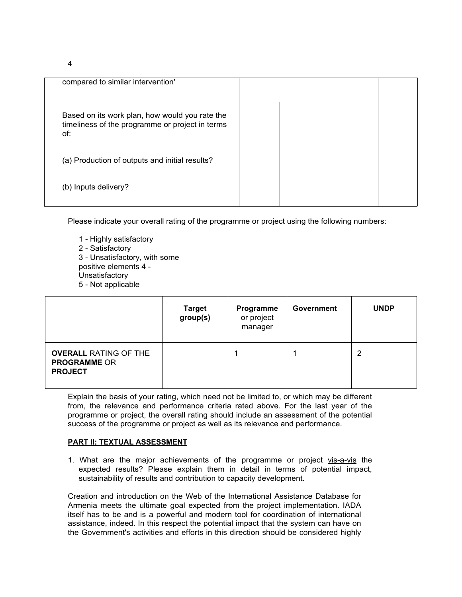4

| compared to similar intervention'                                                                        |  |  |
|----------------------------------------------------------------------------------------------------------|--|--|
| Based on its work plan, how would you rate the<br>timeliness of the programme or project in terms<br>of: |  |  |
| (a) Production of outputs and initial results?                                                           |  |  |
| (b) Inputs delivery?                                                                                     |  |  |

Please indicate your overall rating of the programme or project using the following numbers:

1 - Highly satisfactory 2 - Satisfactory 3 - Unsatisfactory, with some positive elements 4 - **Unsatisfactory** 5 - Not applicable

|                                                                       | <b>Target</b><br>group(s) | Programme<br>or project<br>manager | Government | <b>UNDP</b> |
|-----------------------------------------------------------------------|---------------------------|------------------------------------|------------|-------------|
| <b>OVERALL RATING OF THE</b><br><b>PROGRAMME OR</b><br><b>PROJECT</b> |                           |                                    |            | 2           |

Explain the basis of your rating, which need not be limited to, or which may be different from, the relevance and performance criteria rated above. For the last year of the programme or project, the overall rating should include an assessment of the potential success of the programme or project as well as its relevance and performance.

## **PART II: TEXTUAL ASSESSMENT**

1. What are the major achievements of the programme or project vis-a-vis the expected results? Please explain them in detail in terms of potential impact, sustainability of results and contribution to capacity development.

Creation and introduction on the Web of the International Assistance Database for Armenia meets the ultimate goal expected from the project implementation. IADA itself has to be and is a powerful and modern tool for coordination of international assistance, indeed. In this respect the potential impact that the system can have on the Government's activities and efforts in this direction should be considered highly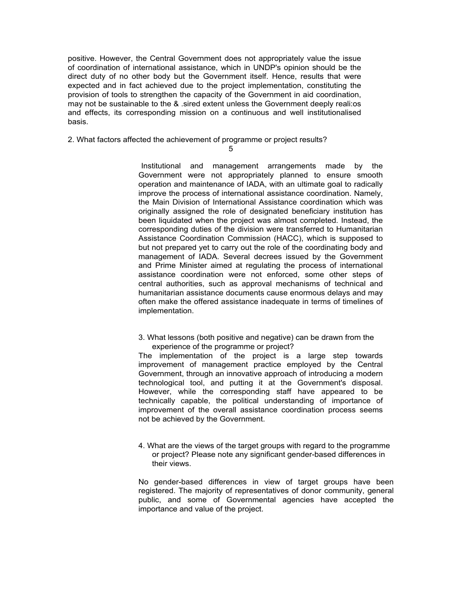positive. However, the Central Government does not appropriately value the issue of coordination of international assistance, which in UNDP's opinion should be the direct duty of no other body but the Government itself. Hence, results that were expected and in fact achieved due to the project implementation, constituting the provision of tools to strengthen the capacity of the Government in aid coordination, may not be sustainable to the & .sired extent unless the Government deeply reali:os and effects, its corresponding mission on a continuous and well institutionalised basis.

2. What factors affected the achievement of programme or project results?

5

Institutional and management arrangements made by the Government were not appropriately planned to ensure smooth operation and maintenance of IADA, with an ultimate goal to radically improve the process of international assistance coordination. Namely, the Main Division of International Assistance coordination which was originally assigned the role of designated beneficiary institution has been liquidated when the project was almost completed. Instead, the corresponding duties of the division were transferred to Humanitarian Assistance Coordination Commission (HACC), which is supposed to but not prepared yet to carry out the role of the coordinating body and management of IADA. Several decrees issued by the Government and Prime Minister aimed at regulating the process of international assistance coordination were not enforced, some other steps of central authorities, such as approval mechanisms of technical and humanitarian assistance documents cause enormous delays and may often make the offered assistance inadequate in terms of timelines of implementation.

3. What lessons (both positive and negative) can be drawn from the experience of the programme or project?

The implementation of the project is a large step towards improvement of management practice employed by the Central Government, through an innovative approach of introducing a modern technological tool, and putting it at the Government's disposal. However, while the corresponding staff have appeared to be technically capable, the political understanding of importance of improvement of the overall assistance coordination process seems not be achieved by the Government.

4. What are the views of the target groups with regard to the programme or project? Please note any significant gender-based differences in their views.

No gender-based differences in view of target groups have been registered. The majority of representatives of donor community, general public, and some of Governmental agencies have accepted the importance and value of the project.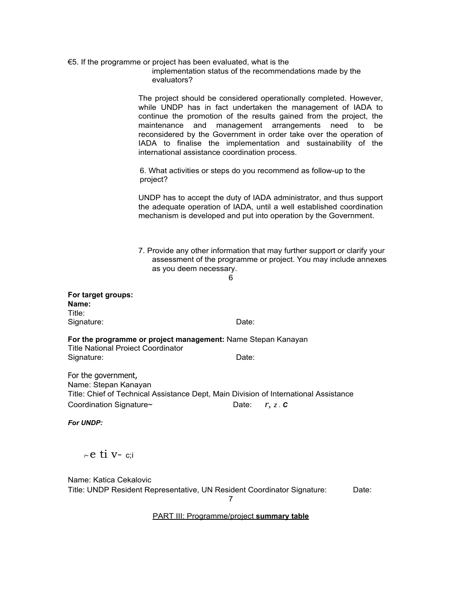|                                           | $\epsilon$ = 5. If the programme or project has been evaluated, what is the<br>implementation status of the recommendations made by the<br>evaluators?                                                                                                                                                                                                                                                                                                                |
|-------------------------------------------|-----------------------------------------------------------------------------------------------------------------------------------------------------------------------------------------------------------------------------------------------------------------------------------------------------------------------------------------------------------------------------------------------------------------------------------------------------------------------|
|                                           | The project should be considered operationally completed. However,<br>while UNDP has in fact undertaken the management of IADA to<br>continue the promotion of the results gained from the project, the<br>management arrangements<br>maintenance<br>and<br>to<br>need<br>be<br>reconsidered by the Government in order take over the operation of<br>IADA to finalise the implementation and sustainability of the<br>international assistance coordination process. |
|                                           | 6. What activities or steps do you recommend as follow-up to the<br>project?                                                                                                                                                                                                                                                                                                                                                                                          |
|                                           | UNDP has to accept the duty of IADA administrator, and thus support<br>the adequate operation of IADA, until a well established coordination<br>mechanism is developed and put into operation by the Government.                                                                                                                                                                                                                                                      |
|                                           | 7. Provide any other information that may further support or clarify your<br>assessment of the programme or project. You may include annexes<br>as you deem necessary.<br>6                                                                                                                                                                                                                                                                                           |
| For target groups:<br>Name:<br>Title:     |                                                                                                                                                                                                                                                                                                                                                                                                                                                                       |
| Signature:                                | Date:                                                                                                                                                                                                                                                                                                                                                                                                                                                                 |
| <b>Title National Proiect Coordinator</b> | For the programme or project management: Name Stepan Kanayan                                                                                                                                                                                                                                                                                                                                                                                                          |

Signature: Date: Date:

For the government, Name: Stepan Kanayan Title: Chief of Technical Assistance Dept, Main Division of International Assistance Coordination Signature~ Date: *r, z . <sup>C</sup>*

*For UNDP:*

*r~* e ti v- c;i

Name: Katica Cekalovic Title: UNDP Resident Representative, UN Resident Coordinator Signature: Date: 7

PART III: Programme/project **summary table**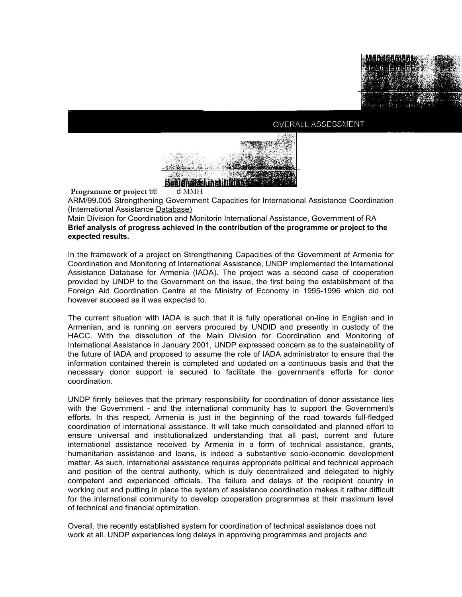

# OVERALL ASSESSMENT



ARM/99.005 Strengthening Government Capacities for International Assistance Coordination (International Assistance Database)

Main Division for Coordination and Monitorin International Assistance, Government of RA **Brief analysis of progress achieved in the contribution of the programme or project to the expected results.**

In the framework of a project on Strengthening Capacities of the Government of Armenia for Coordination and Monitoring of International Assistance, UNDP implemented the International Assistance Database for Armenia (IADA). The project was a second case of cooperation provided by UNDP to the Government on the issue, the first being the establishment of the Foreign Aid Coordination Centre at the Ministry of Economy in 1995-1996 which did not however succeed as it was expected to.

The current situation with IADA is such that it is fully operational on-line in English and in Armenian, and is running on servers procured by UNDID and presently in custody of the HACC. With the dissolution of the Main Division for Coordination and Monitoring of International Assistance in January 2001, UNDP expressed concern as to the sustainability of the future of IADA and proposed to assume the role of IADA administrator to ensure that the information contained therein is completed and updated on a continuous basis and that the necessary donor support is secured to facilitate the government's efforts for donor coordination.

UNDP firmly believes that the primary responsibility for coordination of donor assistance lies with the Government - and the international community has to support the Government's efforts. In this respect, Armenia is just in the beginning of the road towards full-fledged coordination of international assistance. It will take much consolidated and planned effort to ensure universal and institutionalized understanding that all past, current and future international assistance received by Armenia in a form of technical assistance, grants, humanitarian assistance and loans, is indeed a substantive socio-economic development matter. As such, international assistance requires appropriate political and technical approach and position of the central authority, which is duly decentralized and delegated to highly competent and experienced officials. The failure and delays of the recipient country in working out and putting in place the system of assistance coordination makes it rather difficult for the international community to develop cooperation programmes at their maximum level of technical and financial optimization.

Overall, the recently established system for coordination of technical assistance does not work at all. UNDP experiences long delays in approving programmes and projects and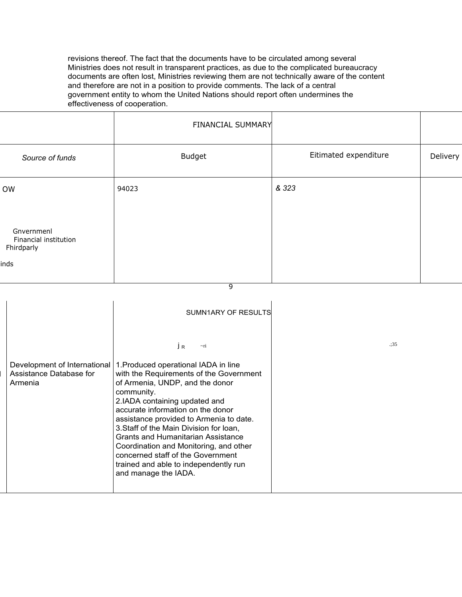revisions thereof. The fact that the documents have to be circulated among several Ministries does not result in transparent practices, as due to the complicated bureaucracy documents are often lost, Ministries reviewing them are not technically aware of the content and therefore are not in a position to provide comments. The lack of a central government entity to whom the United Nations should report often undermines the effectiveness of cooperation.

|                                                           | FINANCIAL SUMMARY |                       |          |
|-----------------------------------------------------------|-------------------|-----------------------|----------|
| Source of funds                                           | <b>Budget</b>     | Eitimated expenditure | Delivery |
| OW                                                        | 94023             | & 323                 |          |
| Gnvernmenl<br>Financial institution<br>Fhirdparly<br>inds |                   |                       |          |
|                                                           | $\overline{9}$    |                       |          |

|                                                                    | SUMN1ARY OF RESULTS                                                                                                                                                                                                                                                                                                                                                                                                                                                                |     |
|--------------------------------------------------------------------|------------------------------------------------------------------------------------------------------------------------------------------------------------------------------------------------------------------------------------------------------------------------------------------------------------------------------------------------------------------------------------------------------------------------------------------------------------------------------------|-----|
|                                                                    | $\sim$ ri<br>JR                                                                                                                                                                                                                                                                                                                                                                                                                                                                    | .35 |
| Development of International<br>Assistance Database for<br>Armenia | 1. Produced operational IADA in line<br>with the Requirements of the Government<br>of Armenia, UNDP, and the donor<br>community.<br>2.IADA containing updated and<br>accurate information on the donor<br>assistance provided to Armenia to date.<br>3. Staff of the Main Division for loan,<br>Grants and Humanitarian Assistance<br>Coordination and Monitoring, and other<br>concerned staff of the Government<br>trained and able to independently run<br>and manage the IADA. |     |